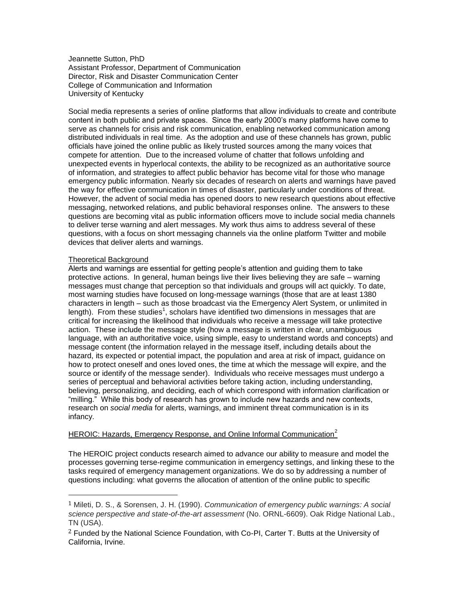Jeannette Sutton, PhD Assistant Professor, Department of Communication Director, Risk and Disaster Communication Center College of Communication and Information University of Kentucky

Social media represents a series of online platforms that allow individuals to create and contribute content in both public and private spaces. Since the early 2000's many platforms have come to serve as channels for crisis and risk communication, enabling networked communication among distributed individuals in real time. As the adoption and use of these channels has grown, public officials have joined the online public as likely trusted sources among the many voices that compete for attention. Due to the increased volume of chatter that follows unfolding and unexpected events in hyperlocal contexts, the ability to be recognized as an authoritative source of information, and strategies to affect public behavior has become vital for those who manage emergency public information. Nearly six decades of research on alerts and warnings have paved the way for effective communication in times of disaster, particularly under conditions of threat. However, the advent of social media has opened doors to new research questions about effective messaging, networked relations, and public behavioral responses online. The answers to these questions are becoming vital as public information officers move to include social media channels to deliver terse warning and alert messages. My work thus aims to address several of these questions, with a focus on short messaging channels via the online platform Twitter and mobile devices that deliver alerts and warnings.

## Theoretical Background

 $\overline{\phantom{a}}$ 

Alerts and warnings are essential for getting people's attention and guiding them to take protective actions. In general, human beings live their lives believing they are safe – warning messages must change that perception so that individuals and groups will act quickly. To date, most warning studies have focused on long-message warnings (those that are at least 1380 characters in length – such as those broadcast via the Emergency Alert System, or unlimited in length). From these studies<sup>1</sup>, scholars have identified two dimensions in messages that are critical for increasing the likelihood that individuals who receive a message will take protective action. These include the message style (how a message is written in clear, unambiguous language, with an authoritative voice, using simple, easy to understand words and concepts) and message content (the information relayed in the message itself, including details about the hazard, its expected or potential impact, the population and area at risk of impact, guidance on how to protect oneself and ones loved ones, the time at which the message will expire, and the source or identify of the message sender). Individuals who receive messages must undergo a series of perceptual and behavioral activities before taking action, including understanding, believing, personalizing, and deciding, each of which correspond with information clarification or "milling." While this body of research has grown to include new hazards and new contexts, research on *social media* for alerts, warnings, and imminent threat communication is in its infancy.

## HEROIC: Hazards, Emergency Response, and Online Informal Communication $2$

The HEROIC project conducts research aimed to advance our ability to measure and model the processes governing terse-regime communication in emergency settings, and linking these to the tasks required of emergency management organizations. We do so by addressing a number of questions including: what governs the allocation of attention of the online public to specific

<sup>1</sup> Mileti, D. S., & Sorensen, J. H. (1990). *Communication of emergency public warnings: A social science perspective and state-of-the-art assessment* (No. ORNL-6609). Oak Ridge National Lab., TN (USA).

 $2$  Funded by the National Science Foundation, with Co-PI, Carter T. Butts at the University of California, Irvine.